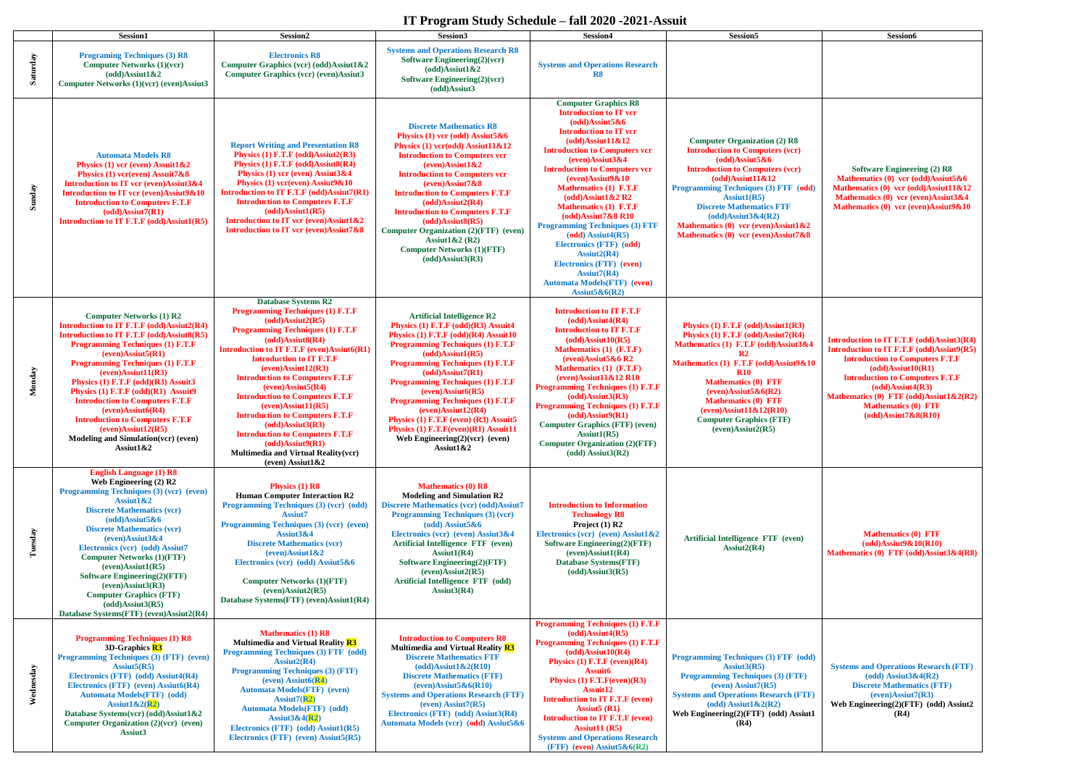## **IT Program Study Schedule – fall 2020 -2021-Assuit**



| Saturday  | <b>Session1</b><br><b>Programing Techniques (3) R8</b><br><b>Computer Networks (1)(vcr)</b><br>$(odd)$ Assiut1&2<br>Computer Networks (1)(vcr) (even)Assiut3                                                                                                                                                                                                                                                                                                                                                                                        | Session2<br><b>Electronics R8</b><br>Computer Graphics (vcr) (odd)Assiut1&2<br><b>Computer Graphics (vcr) (even)Assiut3</b>                                                                                                                                                                                                                                                                                                                                                                                                                                                                                                            | Session3<br><b>Systems and Operations Research R8</b><br>Software Engineering(2)(vcr)<br>$(odd)$ Assiut1&2<br>Software Engineering(2)(vcr)<br>(odd)Assiut3                                                                                                                                                                                                                                                                                                                                                                                 | Session4<br><b>Systems and Operations Research</b><br>R8                                                                                                                                                                                                                                                                                                                                                                                                                                                                                                                                                                                                | Session5                                                                                                                                                                                                                                                                                                                                                                                       | <b>Session6</b>                                                                                                                                                                                                                                             |
|-----------|-----------------------------------------------------------------------------------------------------------------------------------------------------------------------------------------------------------------------------------------------------------------------------------------------------------------------------------------------------------------------------------------------------------------------------------------------------------------------------------------------------------------------------------------------------|----------------------------------------------------------------------------------------------------------------------------------------------------------------------------------------------------------------------------------------------------------------------------------------------------------------------------------------------------------------------------------------------------------------------------------------------------------------------------------------------------------------------------------------------------------------------------------------------------------------------------------------|--------------------------------------------------------------------------------------------------------------------------------------------------------------------------------------------------------------------------------------------------------------------------------------------------------------------------------------------------------------------------------------------------------------------------------------------------------------------------------------------------------------------------------------------|---------------------------------------------------------------------------------------------------------------------------------------------------------------------------------------------------------------------------------------------------------------------------------------------------------------------------------------------------------------------------------------------------------------------------------------------------------------------------------------------------------------------------------------------------------------------------------------------------------------------------------------------------------|------------------------------------------------------------------------------------------------------------------------------------------------------------------------------------------------------------------------------------------------------------------------------------------------------------------------------------------------------------------------------------------------|-------------------------------------------------------------------------------------------------------------------------------------------------------------------------------------------------------------------------------------------------------------|
| Sunday    | <b>Automata Models R8</b><br>Physics $(1)$ vcr (even) Assuit1&2<br>Physics $(1)$ vcr(even) Assuit 7&8<br>Introduction to IT vcr (even)Assiut3&4<br>Introduction to IT vcr (even)Assiut9&10<br><b>Introduction to Computers F.T.F</b><br>$(odd)$ Assiut $7(R1)$<br>Introduction to IT F.T.F (odd)Assiut1(R5)                                                                                                                                                                                                                                         | <b>Report Writing and Presentation R8</b><br>Physics $(1)$ F.T.F $(odd)$ Assiut2(R3)<br>Physics (1) F.T.F (odd)Assiut8(R4)<br>Physics $(1)$ vcr (even) Assiut $3&4$<br>Physics $(1)$ vcr(even) Assiut9&10<br>Introduction to IT F.T.F (odd)Assiut7(R1)<br><b>Introduction to Computers F.T.F</b><br>$(odd)$ Assiut1(R5)<br>Introduction to IT vcr (even)Assiut1&2<br>Introduction to IT vcr (even)Assiut7&8                                                                                                                                                                                                                            | <b>Discrete Mathematics R8</b><br>Physics $(1)$ vcr $(odd)$ Assiut5 & 6<br>Physics $(1)$ vcr $(odd)$ Assiut11&12<br><b>Introduction to Computers vcr</b><br>$(even)$ Assiut1&2<br><b>Introduction to Computers ver</b><br>$(even)$ Assiut $7&8$<br><b>Introduction to Computers F.T.F</b><br>$(odd)$ Assiut2(R4)<br><b>Introduction to Computers F.T.F</b><br>$(odd)$ Assiut $8(R5)$<br>Computer Organization (2)(FTF) (even)<br>Assiut $1&2$ (R2)<br><b>Computer Networks (1)(FTF)</b><br>$(odd)$ Assiut $3(R3)$                          | <b>Computer Graphics R8</b><br><b>Introduction to IT vcr</b><br>$(odd)$ Assiut $5&6$<br><b>Introduction to IT vcr</b><br>$(odd)$ Assiut11&12<br><b>Introduction to Computers vcr</b><br>$(even)$ Assiut $3&4$<br><b>Introduction to Computers vcr</b><br>$(even)$ Assiut $9&10$<br><b>Mathematics (1) F.T.F</b><br>$(odd)$ Assiut1&2 R2<br><b>Mathematics (1) F.T.F</b><br>$(odd)$ Assiut $7&8$ R10<br><b>Programming Techniques (3) FTF</b><br>$(odd)$ Assiut $4(R5)$<br>Electronics (FTF) (odd)<br>$\text{Assint2}(\mathbb{R}4)$<br>Electronics (FTF) (even)<br>$\text{Assiut7}(\text{R}4)$<br><b>Automata Models(FTF)</b> (even)<br>Assiut $5&6(R2)$ | <b>Computer Organization (2) R8</b><br><b>Introduction to Computers (vcr)</b><br>$(odd)$ Assiut $5&6$<br><b>Introduction to Computers (vcr)</b><br>$(odd)$ Assiut11&12<br>Programming Techniques (3) FTF (odd)<br>$\text{Assiut1}(\mathbb{R}5)$<br><b>Discrete Mathematics FTF</b><br>$(odd)$ Assiut $3&4(R2)$<br>Mathematics $(0)$ vcr (even)Assiut1&2<br>Mathematics (0) vcr (even)Assiut7&8 | <b>Software Engineer</b><br><b>Mathematics</b> $(0)$ vcr $(0)$<br><b>Mathematics (0) vcr (od</b><br>Mathematics (0) vcr (e)<br>Mathematics (0) vcr (ev                                                                                                      |
| Monday    | <b>Computer Networks (1) R2</b><br>Introduction to IT F.T.F (odd)Assiut2(R4)<br>Introduction to IT F.T.F (odd)Assiut8(R5)<br><b>Programming Techniques (1) F.T.F</b><br>$(even)$ Assiut $5(R1)$<br><b>Programming Techniques (1) F.T.F</b><br>$(even)$ Assiut11 $(R3)$<br>Physics (1) F.T.F (odd)(R3) Assuit3<br>Physics (1) F.T.F (odd)(R1) Assuit9<br><b>Introduction to Computers F.T.F</b><br>$(even)$ Assiut $6(R4)$<br><b>Introduction to Computers F.T.F</b><br>$(even)$ Assiut12(R5)<br>Modeling and Simulation(vcr) (even)<br>Assiut $1&2$ | <b>Database Systems R2</b><br><b>Programming Techniques (1) F.T.F</b><br>$(odd)$ Assiut2(R5)<br><b>Programming Techniques (1) F.T.F</b><br>$(odd)$ Assiut $8(R4)$<br><b>Introduction to IT F.T.F (even)Assiut6(R1)</b><br><b>Introduction to IT F.T.F</b><br>$(even)$ Assiut12 $(R3)$<br><b>Introduction to Computers F.T.F</b><br>$(even)$ Assiut $5(R4)$<br><b>Introduction to Computers F.T.F</b><br>$(even)$ Assiut11 $(R5)$<br><b>Introduction to Computers F.T.F</b><br>$(odd)$ Assiut $3(R3)$<br><b>Introduction to Computers F.T.F</b><br>$(odd)$ Assiut $9(R1)$<br>Multimedia and Virtual Reality(vcr)<br>(even) Assiut $1&2$ | <b>Artificial Intelligence R2</b><br>Physics (1) F.T.F (odd)(R3) Assuit4<br>Physics (1) F.T.F (odd)(R4) Assuit10<br><b>Programming Techniques (1) F.T.F</b><br>$(odd)$ Assiut1 $(R5)$<br><b>Programming Techniques (1) F.T.F</b><br>$(odd)$ Assiut $7(R1)$<br><b>Programming Techniques (1) F.T.F</b><br>$(even)$ Assiut $6(R5)$<br><b>Programming Techniques (1) F.T.F</b><br>$(even)$ Assiut12(R4)<br>Physics (1) F.T.F (even) (R3) Assuit5<br>Physics (1) F.T.F(even)(R1) Assuit11<br>Web Engineering $(2)(ver)$ (even)<br>Assiut $1&2$ | <b>Introduction to IT F.T.F</b><br>$(odd)$ Assiut $4(R4)$<br><b>Introduction to IT F.T.F</b><br>$(odd)$ Assiut10 $(R5)$<br>Mathematics (1) (F.T.F)<br>(even)Assiut5&6 R2<br>Mathematics (1) (F.T.F)<br>$(even)$ Assiut11&12 R10<br><b>Programming Techniques (1) F.T.F</b><br>$(odd)$ Assiut $3(R3)$<br><b>Programming Techniques (1) F.T.F</b><br>$(odd)$ Assiut $9(R1)$<br><b>Computer Graphics (FTF) (even)</b><br>Assiut $1(R5)$<br><b>Computer Organization (2)(FTF)</b><br>$(odd)$ Assiut $3(R2)$                                                                                                                                                 | Physics (1) F.T.F (odd)Assiut1(R3)<br>Physics (1) F.T.F (odd)Assiut7(R4)<br>Mathematics (1) F.T.F (odd)Assiut3&4<br>$\mathbf{R2}$<br>Mathematics (1) F.T.F (odd)Assiut9&10<br>R10<br><b>Mathematics (0) FTF</b><br>(even)Assiut5 $&6(R2)$<br><b>Mathematics (0) FTF</b><br>$(even)$ Assiut11&12(R10)<br><b>Computer Graphics (FTF)</b><br>$(even)$ Assiut $2(R5)$                              | <b>Introduction to IT F.T.F</b><br><b>Introduction to IT F.T.F</b><br><b>Introduction to Compare</b><br>(odd)Assiut10<br><b>Introduction to Compare</b><br>(odd)Assiut4<br><b>Mathematics (0) FTF (od</b><br><b>Mathematics (0)</b><br>$(odd)$ Assiut $7&8$ |
| Tuesday   | <b>English Language (1) R8</b><br>Web Engineering $(2)$ R2<br>Programming Techniques (3) (vcr) (even)<br>Assiut $1&2$<br><b>Discrete Mathematics (vcr)</b><br>$(odd)$ Assiut $5&6$<br><b>Discrete Mathematics (vcr)</b><br>$(even)$ Assiut $3&4$<br>Electronics (vcr) (odd) Assiut7<br><b>Computer Networks (1)(FTF)</b><br>$(even)$ Assiut1 $(R5)$<br>Software Engineering(2)(FTF)<br>$(even)$ Assiut $3(R3)$<br><b>Computer Graphics (FTF)</b><br>$(odd)$ Assiut $3(R5)$<br>Database Systems(FTF) (even)Assiut2(R4)                               | Physics $(1)$ R8<br><b>Human Computer Interaction R2</b><br>Programming Techniques (3) (vcr) (odd)<br><b>Assiut7</b><br>Programming Techniques (3) (vcr) (even)<br>Assiut3&4<br><b>Discrete Mathematics (vcr)</b><br>$(even)$ Assiut1&2<br>Electronics (vcr) (odd) Assiut5 & 6<br><b>Computer Networks (1)(FTF)</b><br>$(even)$ Assiut $2(R5)$<br>Database Systems (FTF) (even) Assiut1 (R4)                                                                                                                                                                                                                                           | <b>Mathematics (0) R8</b><br><b>Modeling and Simulation R2</b><br><b>Discrete Mathematics (vcr) (odd)Assiut7</b><br><b>Programming Techniques (3) (vcr)</b><br>$(odd)$ Assiut5&6<br>Electronics (vcr) (even) Assiut3&4<br>Artificial Intelligence FTF (even)<br>Assiut $1(R4)$<br><b>Software Engineering(2)(FTF)</b><br>$(even)$ Assiut $2(R5)$<br>Artificial Intelligence FTF (odd)<br>Assiut $3(R4)$                                                                                                                                    | <b>Introduction to Information</b><br><b>Technology R8</b><br>Project $(1)$ R2<br>Electronics (vcr) (even) Assiut1&2<br><b>Software Engineering(2)(FTF)</b><br>$(even)$ Assiut1 $(R4)$<br><b>Database Systems(FTF)</b><br>$(odd)$ Assiut $3(R5)$                                                                                                                                                                                                                                                                                                                                                                                                        | Artificial Intelligence FTF (even)<br>$\text{Assint2}(\mathbb{R}4)$                                                                                                                                                                                                                                                                                                                            | <b>Mathematics (0)</b><br>$(odd)$ Assiut9&1<br><b>Mathematics (0) FTF (od</b>                                                                                                                                                                               |
| Wednesday | <b>Programming Techniques (1) R8</b><br>3D-Graphics R3<br>Programming Techniques (3) (FTF) (even)<br>Assiut $5(R5)$<br>Electronics (FTF) (odd) Assiut4(R4)<br>Electronics (FTF) (even) Assiut6(R4)<br><b>Automata Models(FTF)</b> (odd)<br>Assiut $1&2(R2)$<br>Database Systems(vcr) (odd)Assiut1&2<br>Computer Organization (2)(vcr) (even)<br>Assiut3                                                                                                                                                                                             | <b>Mathematics (1) R8</b><br>Multimedia and Virtual Reality R3<br><b>Programming Techniques (3) FTF (odd)</b><br>$\text{Assint2}(\mathbf{R4})$<br><b>Programming Techniques (3) (FTF)</b><br>(even) Assiut $6(R4)$<br><b>Automata Models(FTF)</b> (even)<br>$\text{Assiut7}(\text{R2})$<br><b>Automata Models(FTF)</b> (odd)<br>Assiut $3&4(R2)$<br>Electronics (FTF) (odd) Assiut1(R5)<br>Electronics (FTF) (even) Assiut5(R5)                                                                                                                                                                                                        | <b>Introduction to Computers R8</b><br>Multimedia and Virtual Reality R3<br><b>Discrete Mathematics FTF</b><br>$(odd)$ Assiut1&2(R10)<br><b>Discrete Mathematics (FTF)</b><br>$(even)$ Assiut $5&6(R10)$<br><b>Systems and Operations Research (FTF)</b><br>$(even)$ Assiut $7(R5)$<br>Electronics (FTF) (odd) Assiut3(R4)<br>Automata Models (vcr) (odd) Assiut5&6                                                                                                                                                                        | <b>Programming Techniques (1) F.T.F</b><br>$(odd)$ Assiut $4(R5)$<br><b>Programming Techniques (1) F.T.F</b><br>$(odd)$ Assiut10 $(R4)$<br>Physics $(1)$ F.T.F (even) $(R4)$<br><b>Assuit6</b><br>Physics $(1)$ F.T.F(even) $(R3)$<br><b>Assuit12</b><br><b>Introduction to IT F.T.F (even)</b><br>Assiut $5(R1)$<br><b>Introduction to IT F.T.F (even)</b><br>Assiut11 $(R5)$<br><b>Systems and Operations Research</b><br>(FTF) (even) Assiut5&6(R2)                                                                                                                                                                                                  | <b>Programming Techniques (3) FTF (odd)</b><br>Assiut $3(R5)$<br><b>Programming Techniques (3) (FTF)</b><br>$(even)$ Assiut $7(R5)$<br><b>Systems and Operations Research (FTF)</b><br>(odd) Assiut1&2 $(R2)$<br>Web Engineering(2)(FTF) (odd) Assiut1<br>(R4)                                                                                                                                 | <b>Systems and Operations</b><br>$(odd)$ Assiut3&<br><b>Discrete Mathema</b><br>(even)Assiut7<br>Web Engineering(2)(FTI<br>(R4)                                                                                                                             |